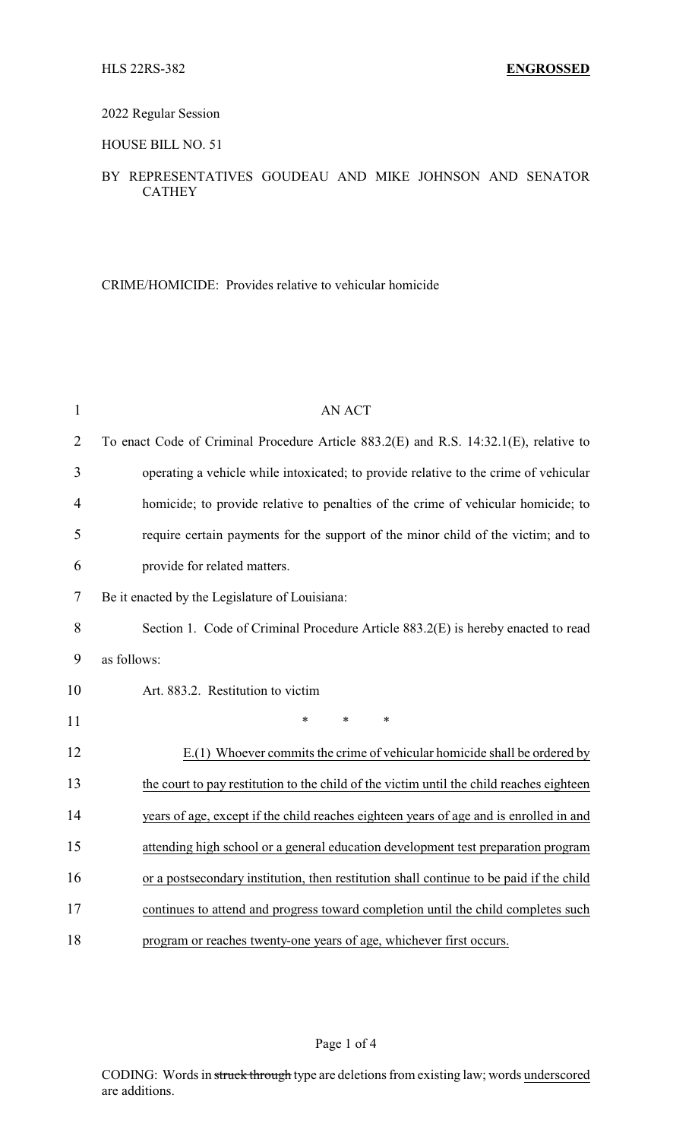## 2022 Regular Session

### HOUSE BILL NO. 51

# BY REPRESENTATIVES GOUDEAU AND MIKE JOHNSON AND SENATOR CATHEY

CRIME/HOMICIDE: Provides relative to vehicular homicide

| 1              | <b>AN ACT</b>                                                                            |
|----------------|------------------------------------------------------------------------------------------|
| $\overline{2}$ | To enact Code of Criminal Procedure Article 883.2(E) and R.S. 14:32.1(E), relative to    |
| 3              | operating a vehicle while intoxicated; to provide relative to the crime of vehicular     |
| $\overline{4}$ | homicide; to provide relative to penalties of the crime of vehicular homicide; to        |
| 5              | require certain payments for the support of the minor child of the victim; and to        |
| 6              | provide for related matters.                                                             |
| 7              | Be it enacted by the Legislature of Louisiana:                                           |
| 8              | Section 1. Code of Criminal Procedure Article 883.2(E) is hereby enacted to read         |
| 9              | as follows:                                                                              |
| 10             | Art. 883.2. Restitution to victim                                                        |
| 11             | $\ast$<br>*<br>*                                                                         |
| 12             | E.(1) Whoever commits the crime of vehicular homicide shall be ordered by                |
| 13             | the court to pay restitution to the child of the victim until the child reaches eighteen |
| 14             | years of age, except if the child reaches eighteen years of age and is enrolled in and   |
| 15             | attending high school or a general education development test preparation program        |
| 16             | or a postsecondary institution, then restitution shall continue to be paid if the child  |
| 17             | continues to attend and progress toward completion until the child completes such        |
| 18             | program or reaches twenty-one years of age, whichever first occurs.                      |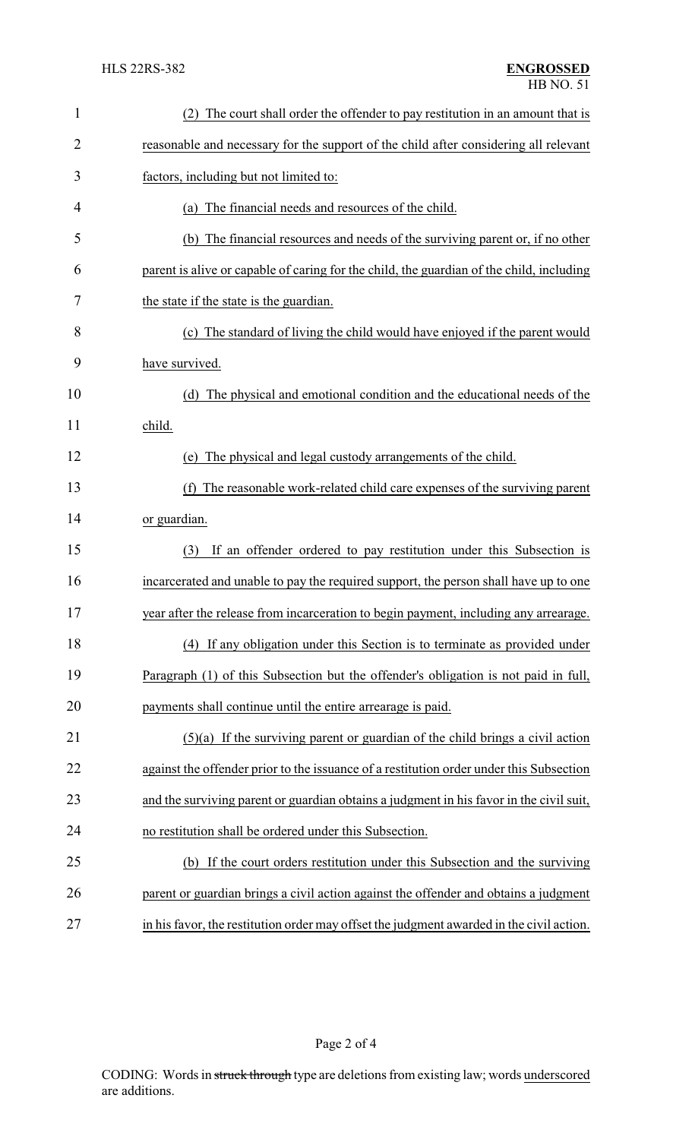| $\mathbf{1}$   | The court shall order the offender to pay restitution in an amount that is               |
|----------------|------------------------------------------------------------------------------------------|
| $\overline{2}$ | reasonable and necessary for the support of the child after considering all relevant     |
| 3              | factors, including but not limited to:                                                   |
| 4              | (a) The financial needs and resources of the child.                                      |
| 5              | (b) The financial resources and needs of the surviving parent or, if no other            |
| 6              | parent is alive or capable of caring for the child, the guardian of the child, including |
| 7              | the state if the state is the guardian.                                                  |
| 8              | (c) The standard of living the child would have enjoyed if the parent would              |
| 9              | have survived.                                                                           |
| 10             | The physical and emotional condition and the educational needs of the<br>(d)             |
| 11             | child.                                                                                   |
| 12             | (e) The physical and legal custody arrangements of the child.                            |
| 13             | The reasonable work-related child care expenses of the surviving parent<br>(f)           |
| 14             | or guardian.                                                                             |
| 15             | If an offender ordered to pay restitution under this Subsection is<br>(3)                |
| 16             | incarcerated and unable to pay the required support, the person shall have up to one     |
| 17             | year after the release from incarceration to begin payment, including any arrearage.     |
| 18             | (4) If any obligation under this Section is to terminate as provided under               |
| 19             | Paragraph (1) of this Subsection but the offender's obligation is not paid in full,      |
| 20             | payments shall continue until the entire arrearage is paid.                              |
| 21             | $(5)(a)$ If the surviving parent or guardian of the child brings a civil action          |
| 22             | against the offender prior to the issuance of a restitution order under this Subsection  |
| 23             | and the surviving parent or guardian obtains a judgment in his favor in the civil suit,  |
| 24             | no restitution shall be ordered under this Subsection.                                   |
| 25             | If the court orders restitution under this Subsection and the surviving<br>(b)           |
| 26             | parent or guardian brings a civil action against the offender and obtains a judgment     |
| 27             | in his favor, the restitution order may offset the judgment awarded in the civil action. |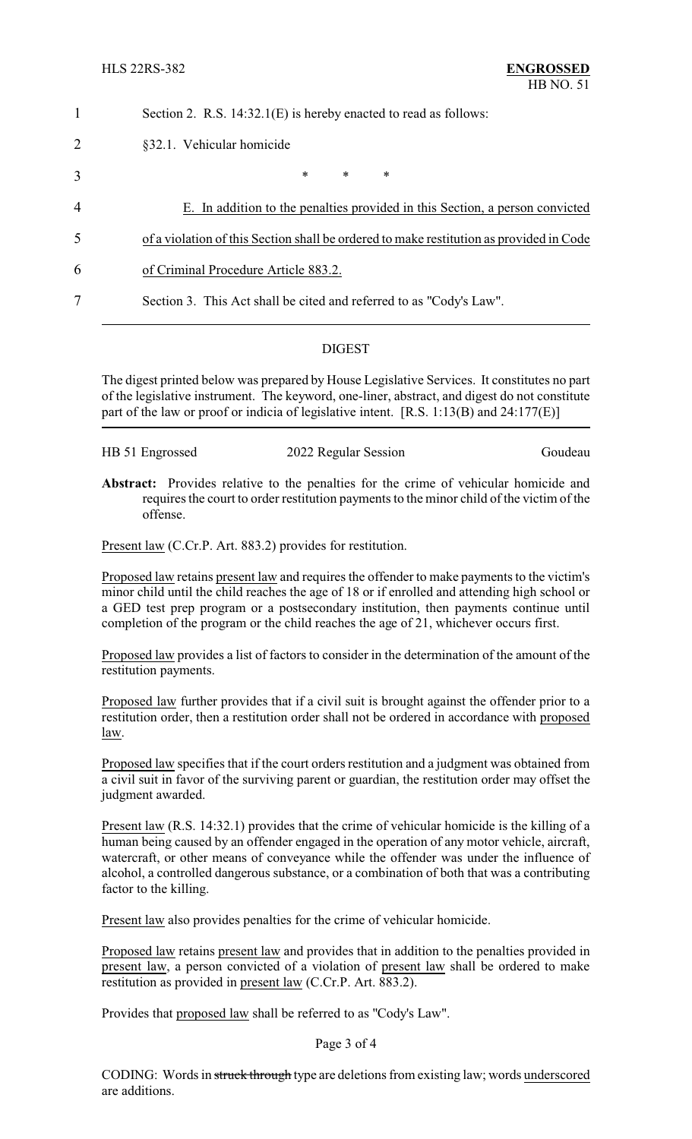|                | Section 2. R.S. 14:32.1(E) is hereby enacted to read as follows:                        |  |  |
|----------------|-----------------------------------------------------------------------------------------|--|--|
| $\overline{2}$ | §32.1. Vehicular homicide                                                               |  |  |
| 3              | $\ast$<br>$\ast$<br>$\ast$                                                              |  |  |
| $\overline{4}$ | E. In addition to the penalties provided in this Section, a person convicted            |  |  |
| 5              | of a violation of this Section shall be ordered to make restitution as provided in Code |  |  |
| 6              | of Criminal Procedure Article 883.2.                                                    |  |  |
| 7              | Section 3. This Act shall be cited and referred to as "Cody's Law".                     |  |  |

#### DIGEST

The digest printed below was prepared by House Legislative Services. It constitutes no part of the legislative instrument. The keyword, one-liner, abstract, and digest do not constitute part of the law or proof or indicia of legislative intent. [R.S. 1:13(B) and 24:177(E)]

| HB 51 Engrossed | 2022 Regular Session | Goudeau |
|-----------------|----------------------|---------|
|                 |                      |         |

**Abstract:** Provides relative to the penalties for the crime of vehicular homicide and requires the court to order restitution payments to the minor child of the victim of the offense.

Present law (C.Cr.P. Art. 883.2) provides for restitution.

Proposed law retains present law and requires the offender to make payments to the victim's minor child until the child reaches the age of 18 or if enrolled and attending high school or a GED test prep program or a postsecondary institution, then payments continue until completion of the program or the child reaches the age of 21, whichever occurs first.

Proposed law provides a list of factors to consider in the determination of the amount of the restitution payments.

Proposed law further provides that if a civil suit is brought against the offender prior to a restitution order, then a restitution order shall not be ordered in accordance with proposed law.

Proposed law specifies that if the court orders restitution and a judgment was obtained from a civil suit in favor of the surviving parent or guardian, the restitution order may offset the judgment awarded.

Present law (R.S. 14:32.1) provides that the crime of vehicular homicide is the killing of a human being caused by an offender engaged in the operation of any motor vehicle, aircraft, watercraft, or other means of conveyance while the offender was under the influence of alcohol, a controlled dangerous substance, or a combination of both that was a contributing factor to the killing.

Present law also provides penalties for the crime of vehicular homicide.

Proposed law retains present law and provides that in addition to the penalties provided in present law, a person convicted of a violation of present law shall be ordered to make restitution as provided in present law (C.Cr.P. Art. 883.2).

Provides that proposed law shall be referred to as "Cody's Law".

#### Page 3 of 4